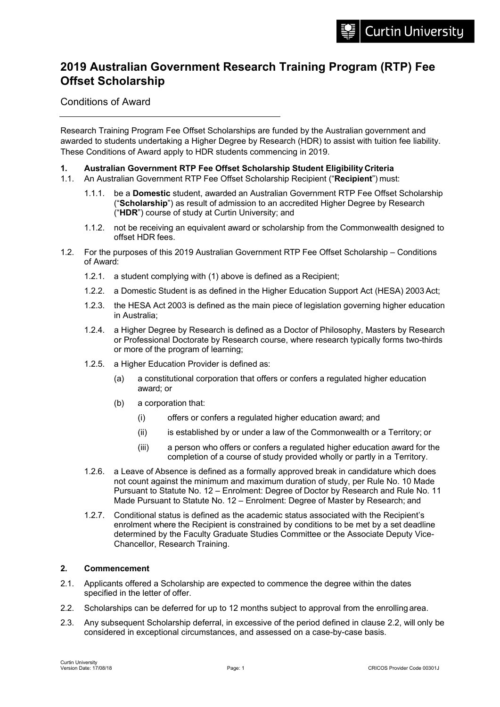# **2019 Australian Government Research Training Program (RTP) Fee Offset Scholarship**

Conditions of Award

Research Training Program Fee Offset Scholarships are funded by the Australian government and awarded to students undertaking a Higher Degree by Research (HDR) to assist with tuition fee liability. These Conditions of Award apply to HDR students commencing in 2019.

#### **1. Australian Government RTP Fee Offset Scholarship Student Eligibility Criteria**

- 1.1. An Australian Government RTP Fee Offset Scholarship Recipient ("**Recipient**") must:
	- 1.1.1. be a **Domestic** student, awarded an Australian Government RTP Fee Offset Scholarship ("**Scholarship**") as result of admission to an accredited Higher Degree by Research ("**HDR**") course of study at Curtin University; and
	- 1.1.2. not be receiving an equivalent award or scholarship from the Commonwealth designed to offset HDR fees.
- 1.2. For the purposes of this 2019 Australian Government RTP Fee Offset Scholarship Conditions of Award:
	- 1.2.1. a student complying with (1) above is defined as a Recipient;
	- 1.2.2. a Domestic Student is as defined in the Higher Education Support Act (HESA) 2003 Act;
	- 1.2.3. the HESA Act 2003 is defined as the main piece of legislation governing higher education in Australia;
	- 1.2.4. a Higher Degree by Research is defined as a Doctor of Philosophy, Masters by Research or Professional Doctorate by Research course, where research typically forms two-thirds or more of the program of learning;
	- 1.2.5. a Higher Education Provider is defined as:
		- (a) a constitutional corporation that offers or confers a regulated higher education award; or
		- (b) a corporation that:
			- (i) offers or confers a regulated higher education award; and
			- (ii) is established by or under a law of the Commonwealth or a Territory; or
			- (iii) a person who offers or confers a regulated higher education award for the completion of a course of study provided wholly or partly in a Territory.
	- 1.2.6. a Leave of Absence is defined as a formally approved break in candidature which does not count against the minimum and maximum duration of study, per Rule No. 10 Made Pursuant to Statute No. 12 – Enrolment: Degree of Doctor by Research and Rule No. 11 Made Pursuant to Statute No. 12 – Enrolment: Degree of Master by Research; and
	- 1.2.7. Conditional status is defined as the academic status associated with the Recipient's enrolment where the Recipient is constrained by conditions to be met by a set deadline determined by the Faculty Graduate Studies Committee or the Associate Deputy Vice-Chancellor, Research Training.

# **2. Commencement**

- 2.1. Applicants offered a Scholarship are expected to commence the degree within the dates specified in the letter of offer.
- 2.2. Scholarships can be deferred for up to 12 months subject to approval from the enrolling area.
- 2.3. Any subsequent Scholarship deferral, in excessive of the period defined in clause 2.2, will only be considered in exceptional circumstances, and assessed on a case-by-case basis.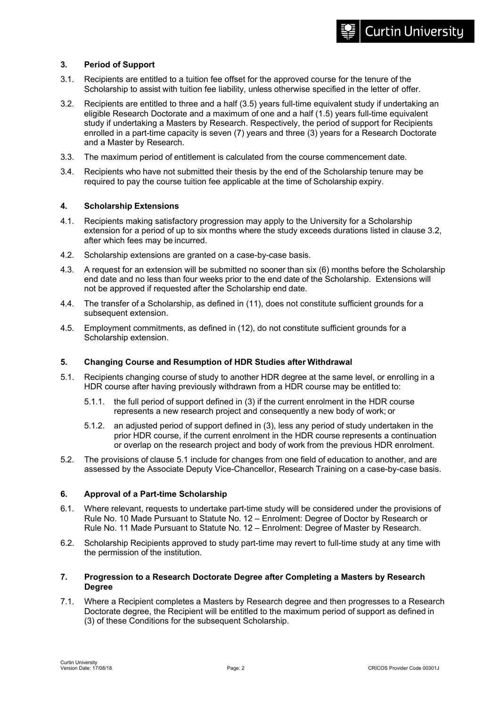# **3. Period of Support**

- 3.1. Recipients are entitled to a tuition fee offset for the approved course for the tenure of the Scholarship to assist with tuition fee liability, unless otherwise specified in the letter of offer.
- 3.2. Recipients are entitled to three and a half (3.5) years full-time equivalent study if undertaking an eligible Research Doctorate and a maximum of one and a half (1.5) years full-time equivalent study if undertaking a Masters by Research. Respectively, the period of support for Recipients enrolled in a part-time capacity is seven (7) years and three (3) years for a Research Doctorate and a Master by Research.
- 3.3. The maximum period of entitlement is calculated from the course commencement date.
- 3.4. Recipients who have not submitted their thesis by the end of the Scholarship tenure may be required to pay the course tuition fee applicable at the time of Scholarship expiry.

#### **4. Scholarship Extensions**

- 4.1. Recipients making satisfactory progression may apply to the University for a Scholarship extension for a period of up to six months where the study exceeds durations listed in clause 3.2, after which fees may be incurred.
- 4.2. Scholarship extensions are granted on a case-by-case basis.
- 4.3. A request for an extension will be submitted no sooner than six (6) months before the Scholarship end date and no less than four weeks prior to the end date of the Scholarship. Extensions will not be approved if requested after the Scholarship end date.
- 4.4. The transfer of a Scholarship, as defined in (11), does not constitute sufficient grounds for a subsequent extension.
- 4.5. Employment commitments, as defined in (12), do not constitute sufficient grounds for a Scholarship extension.

# **5. Changing Course and Resumption of HDR Studies after Withdrawal**

- 5.1. Recipients changing course of study to another HDR degree at the same level, or enrolling in a HDR course after having previously withdrawn from a HDR course may be entitled to:
	- 5.1.1. the full period of support defined in (3) if the current enrolment in the HDR course represents a new research project and consequently a new body of work; or
	- 5.1.2. an adjusted period of support defined in (3), less any period of study undertaken in the prior HDR course, if the current enrolment in the HDR course represents a continuation or overlap on the research project and body of work from the previous HDR enrolment.
- 5.2. The provisions of clause 5.1 include for changes from one field of education to another, and are assessed by the Associate Deputy Vice-Chancellor, Research Training on a case-by-case basis.

#### **6. Approval of a Part-time Scholarship**

- 6.1. Where relevant, requests to undertake part-time study will be considered under the provisions of Rule No. 10 Made Pursuant to Statute No. 12 – Enrolment: Degree of Doctor by Research or Rule No. 11 Made Pursuant to Statute No. 12 – Enrolment: Degree of Master by Research.
- 6.2. Scholarship Recipients approved to study part-time may revert to full-time study at any time with the permission of the institution.

#### **7. Progression to a Research Doctorate Degree after Completing a Masters by Research Degree**

7.1. Where a Recipient completes a Masters by Research degree and then progresses to a Research Doctorate degree, the Recipient will be entitled to the maximum period of support as defined in (3) of these Conditions for the subsequent Scholarship.

**Curtin University**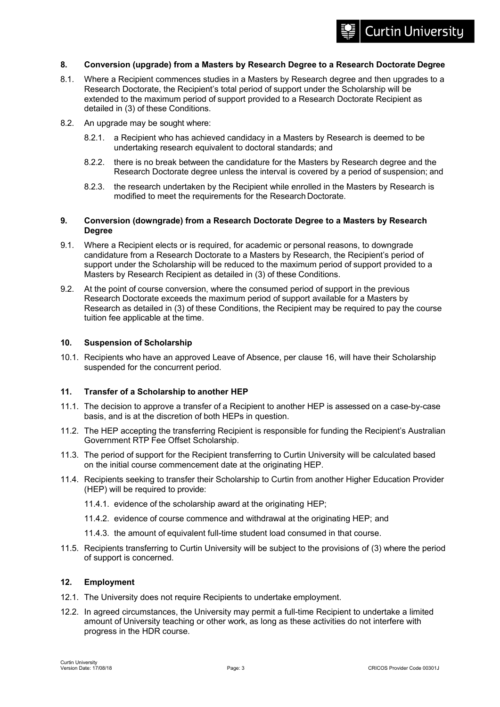# **Curtin University**

#### **8. Conversion (upgrade) from a Masters by Research Degree to a Research Doctorate Degree**

- 8.1. Where a Recipient commences studies in a Masters by Research degree and then upgrades to a Research Doctorate, the Recipient's total period of support under the Scholarship will be extended to the maximum period of support provided to a Research Doctorate Recipient as detailed in (3) of these Conditions.
- 8.2. An upgrade may be sought where:
	- 8.2.1. a Recipient who has achieved candidacy in a Masters by Research is deemed to be undertaking research equivalent to doctoral standards; and
	- 8.2.2. there is no break between the candidature for the Masters by Research degree and the Research Doctorate degree unless the interval is covered by a period of suspension; and
	- 8.2.3. the research undertaken by the Recipient while enrolled in the Masters by Research is modified to meet the requirements for the Research Doctorate.

#### **9. Conversion (downgrade) from a Research Doctorate Degree to a Masters by Research Degree**

- 9.1. Where a Recipient elects or is required, for academic or personal reasons, to downgrade candidature from a Research Doctorate to a Masters by Research, the Recipient's period of support under the Scholarship will be reduced to the maximum period of support provided to a Masters by Research Recipient as detailed in (3) of these Conditions.
- 9.2. At the point of course conversion, where the consumed period of support in the previous Research Doctorate exceeds the maximum period of support available for a Masters by Research as detailed in (3) of these Conditions, the Recipient may be required to pay the course tuition fee applicable at the time.

#### **10. Suspension of Scholarship**

10.1. Recipients who have an approved Leave of Absence, per clause 16, will have their Scholarship suspended for the concurrent period.

### **11. Transfer of a Scholarship to another HEP**

- 11.1. The decision to approve a transfer of a Recipient to another HEP is assessed on a case-by-case basis, and is at the discretion of both HEPs in question.
- 11.2. The HEP accepting the transferring Recipient is responsible for funding the Recipient's Australian Government RTP Fee Offset Scholarship.
- 11.3. The period of support for the Recipient transferring to Curtin University will be calculated based on the initial course commencement date at the originating HEP.
- 11.4. Recipients seeking to transfer their Scholarship to Curtin from another Higher Education Provider (HEP) will be required to provide:
	- 11.4.1. evidence of the scholarship award at the originating HEP;
	- 11.4.2. evidence of course commence and withdrawal at the originating HEP; and
	- 11.4.3. the amount of equivalent full-time student load consumed in that course.
- 11.5. Recipients transferring to Curtin University will be subject to the provisions of (3) where the period of support is concerned.

#### **12. Employment**

- 12.1. The University does not require Recipients to undertake employment.
- 12.2. In agreed circumstances, the University may permit a full-time Recipient to undertake a limited amount of University teaching or other work, as long as these activities do not interfere with progress in the HDR course.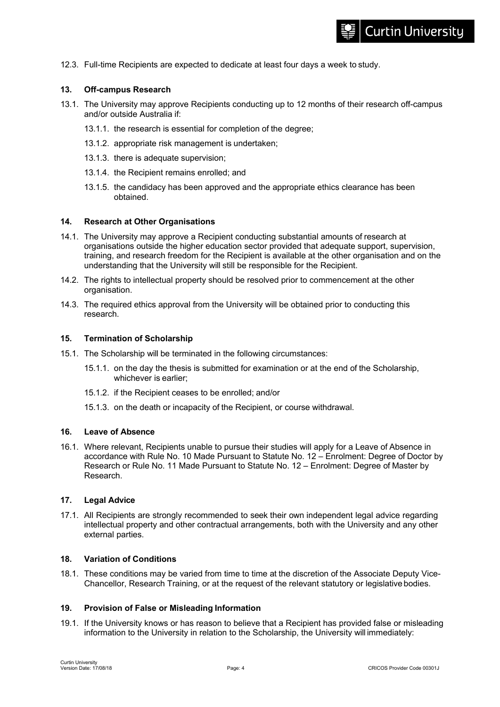12.3. Full-time Recipients are expected to dedicate at least four days a week to study.

## **13. Off-campus Research**

- 13.1. The University may approve Recipients conducting up to 12 months of their research off-campus and/or outside Australia if:
	- 13.1.1. the research is essential for completion of the degree;
	- 13.1.2. appropriate risk management is undertaken;
	- 13.1.3. there is adequate supervision;
	- 13.1.4. the Recipient remains enrolled; and
	- 13.1.5. the candidacy has been approved and the appropriate ethics clearance has been obtained.

#### **14. Research at Other Organisations**

- 14.1. The University may approve a Recipient conducting substantial amounts of research at organisations outside the higher education sector provided that adequate support, supervision, training, and research freedom for the Recipient is available at the other organisation and on the understanding that the University will still be responsible for the Recipient.
- 14.2. The rights to intellectual property should be resolved prior to commencement at the other organisation.
- 14.3. The required ethics approval from the University will be obtained prior to conducting this research.

#### **15. Termination of Scholarship**

- 15.1. The Scholarship will be terminated in the following circumstances:
	- 15.1.1. on the day the thesis is submitted for examination or at the end of the Scholarship, whichever is earlier;
	- 15.1.2. if the Recipient ceases to be enrolled; and/or
	- 15.1.3. on the death or incapacity of the Recipient, or course withdrawal.

#### **16. Leave of Absence**

16.1. Where relevant, Recipients unable to pursue their studies will apply for a Leave of Absence in accordance with Rule No. 10 Made Pursuant to Statute No. 12 – Enrolment: Degree of Doctor by Research or Rule No. 11 Made Pursuant to Statute No. 12 – Enrolment: Degree of Master by Research.

## **17. Legal Advice**

17.1. All Recipients are strongly recommended to seek their own independent legal advice regarding intellectual property and other contractual arrangements, both with the University and any other external parties.

#### **18. Variation of Conditions**

18.1. These conditions may be varied from time to time at the discretion of the Associate Deputy Vice-Chancellor, Research Training, or at the request of the relevant statutory or legislative bodies.

#### **19. Provision of False or Misleading Information**

19.1. If the University knows or has reason to believe that a Recipient has provided false or misleading information to the University in relation to the Scholarship, the University will immediately: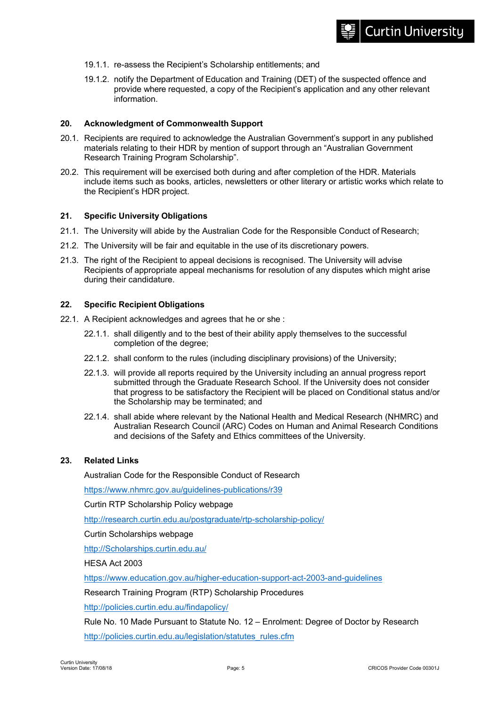19.1.2. notify the Department of Education and Training (DET) of the suspected offence and provide where requested, a copy of the Recipient's application and any other relevant information.

# **20. Acknowledgment of Commonwealth Support**

- 20.1. Recipients are required to acknowledge the Australian Government's support in any published materials relating to their HDR by mention of support through an "Australian Government Research Training Program Scholarship".
- 20.2. This requirement will be exercised both during and after completion of the HDR. Materials include items such as books, articles, newsletters or other literary or artistic works which relate to the Recipient's HDR project.

# **21. Specific University Obligations**

- 21.1. The University will abide by the Australian Code for the Responsible Conduct of Research;
- 21.2. The University will be fair and equitable in the use of its discretionary powers.
- 21.3. The right of the Recipient to appeal decisions is recognised. The University will advise Recipients of appropriate appeal mechanisms for resolution of any disputes which might arise during their candidature.

# **22. Specific Recipient Obligations**

- 22.1. A Recipient acknowledges and agrees that he or she :
	- 22.1.1. shall diligently and to the best of their ability apply themselves to the successful completion of the degree;
	- 22.1.2. shall conform to the rules (including disciplinary provisions) of the University;
	- 22.1.3. will provide all reports required by the University including an annual progress report submitted through the Graduate Research School. If the University does not consider that progress to be satisfactory the Recipient will be placed on Conditional status and/or the Scholarship may be terminated; and
	- 22.1.4. shall abide where relevant by the National Health and Medical Research (NHMRC) and Australian Research Council (ARC) Codes on Human and Animal Research Conditions and decisions of the Safety and Ethics committees of the University.

# **23. Related Links**

Australian Code for the Responsible Conduct of Research

https://www.nhmrc.gov.au/guidelines-publications/r39

Curtin RTP Scholarship Policy webpage

http://research.curtin.edu.au/postgraduate/rtp-scholarship-policy/

Curtin Scholarships webpage

http://Scholarships.curtin.edu.au/

HESA Act 2003

https://www.education.gov.au/higher-education-support-act-2003-and-guidelines

Research Training Program (RTP) Scholarship Procedures

http://policies.curtin.edu.au/findapolicy/

Rule No. 10 Made Pursuant to Statute No. 12 – Enrolment: Degree of Doctor by Research http://policies.curtin.edu.au/legislation/statutes\_rules.cfm

**Curtin University**